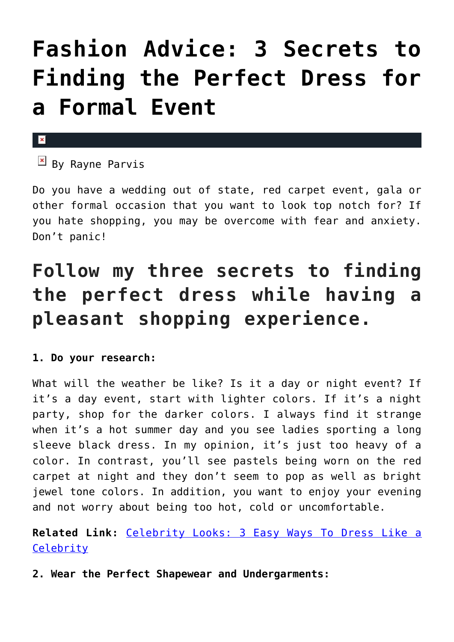# **[Fashion Advice: 3 Secrets to](https://cupidspulse.com/118412/fashion-advice-secrets-perfect-dress-formal-event/) [Finding the Perfect Dress for](https://cupidspulse.com/118412/fashion-advice-secrets-perfect-dress-formal-event/) [a Formal Event](https://cupidspulse.com/118412/fashion-advice-secrets-perfect-dress-formal-event/)**

#### $\mathbf{x}$

 $\overline{B}$  By Rayne Parvis

Do you have a wedding out of state, red carpet event, gala or other formal occasion that you want to look top notch for? If you hate shopping, you may be overcome with fear and anxiety. Don't panic!

## **Follow my three secrets to finding the perfect dress while having a pleasant shopping experience.**

#### **1. Do your research:**

What will the weather be like? Is it a day or night event? If it's a day event, start with lighter colors. If it's a night party, shop for the darker colors. I always find it strange when it's a hot summer day and you see ladies sporting a long sleeve black dress. In my opinion, it's just too heavy of a color. In contrast, you'll see pastels being worn on the red carpet at night and they don't seem to pop as well as bright jewel tone colors. In addition, you want to enjoy your evening and not worry about being too hot, cold or uncomfortable.

### **Related Link:** [Celebrity Looks: 3 Easy Ways To Dress Like a](http://cupidspulse.com/116999/celebrity-looks-easy-ways-dress-like-celebrity/) **[Celebrity](http://cupidspulse.com/116999/celebrity-looks-easy-ways-dress-like-celebrity/)**

**2. Wear the Perfect Shapewear and Undergarments:**